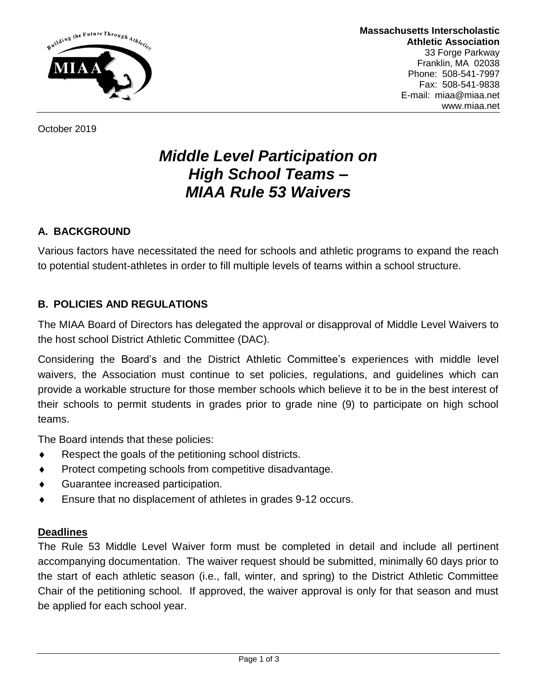

October 2019

# *Middle Level Participation on High School Teams – MIAA Rule 53 Waivers*

# **A. BACKGROUND**

Various factors have necessitated the need for schools and athletic programs to expand the reach to potential student-athletes in order to fill multiple levels of teams within a school structure.

### **B. POLICIES AND REGULATIONS**

The MIAA Board of Directors has delegated the approval or disapproval of Middle Level Waivers to the host school District Athletic Committee (DAC).

Considering the Board's and the District Athletic Committee's experiences with middle level waivers, the Association must continue to set policies, regulations, and guidelines which can provide a workable structure for those member schools which believe it to be in the best interest of their schools to permit students in grades prior to grade nine (9) to participate on high school teams.

The Board intends that these policies:

- $\bullet$  Respect the goals of the petitioning school districts.
- ◆ Protect competing schools from competitive disadvantage.
- Guarantee increased participation.
- Ensure that no displacement of athletes in grades 9-12 occurs.

#### **Deadlines**

The Rule 53 Middle Level Waiver form must be completed in detail and include all pertinent accompanying documentation. The waiver request should be submitted, minimally 60 days prior to the start of each athletic season (i.e., fall, winter, and spring) to the District Athletic Committee Chair of the petitioning school. If approved, the waiver approval is only for that season and must be applied for each school year.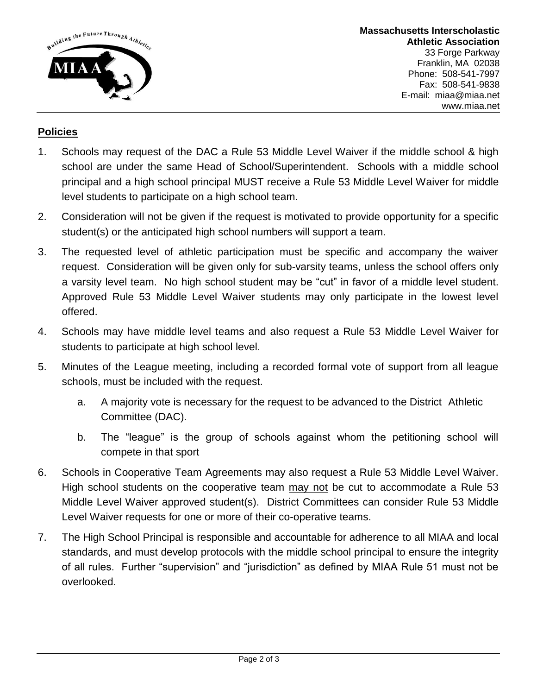

**Massachusetts Interscholastic Athletic Association** 33 Forge Parkway Franklin, MA 02038 Phone: 508-541-7997 Fax: 508-541-9838 E-mail: miaa@miaa.net www.miaa.net

## **Policies**

- 1. Schools may request of the DAC a Rule 53 Middle Level Waiver if the middle school & high school are under the same Head of School/Superintendent. Schools with a middle school principal and a high school principal MUST receive a Rule 53 Middle Level Waiver for middle level students to participate on a high school team.
- 2. Consideration will not be given if the request is motivated to provide opportunity for a specific student(s) or the anticipated high school numbers will support a team.
- 3. The requested level of athletic participation must be specific and accompany the waiver request. Consideration will be given only for sub-varsity teams, unless the school offers only a varsity level team. No high school student may be "cut" in favor of a middle level student. Approved Rule 53 Middle Level Waiver students may only participate in the lowest level offered.
- 4. Schools may have middle level teams and also request a Rule 53 Middle Level Waiver for students to participate at high school level.
- 5. Minutes of the League meeting, including a recorded formal vote of support from all league schools, must be included with the request.
	- a. A majority vote is necessary for the request to be advanced to the District Athletic Committee (DAC).
	- b. The "league" is the group of schools against whom the petitioning school will compete in that sport
- 6. Schools in Cooperative Team Agreements may also request a Rule 53 Middle Level Waiver. High school students on the cooperative team may not be cut to accommodate a Rule 53 Middle Level Waiver approved student(s). District Committees can consider Rule 53 Middle Level Waiver requests for one or more of their co-operative teams.
- 7. The High School Principal is responsible and accountable for adherence to all MIAA and local standards, and must develop protocols with the middle school principal to ensure the integrity of all rules. Further "supervision" and "jurisdiction" as defined by MIAA Rule 51 must not be overlooked.